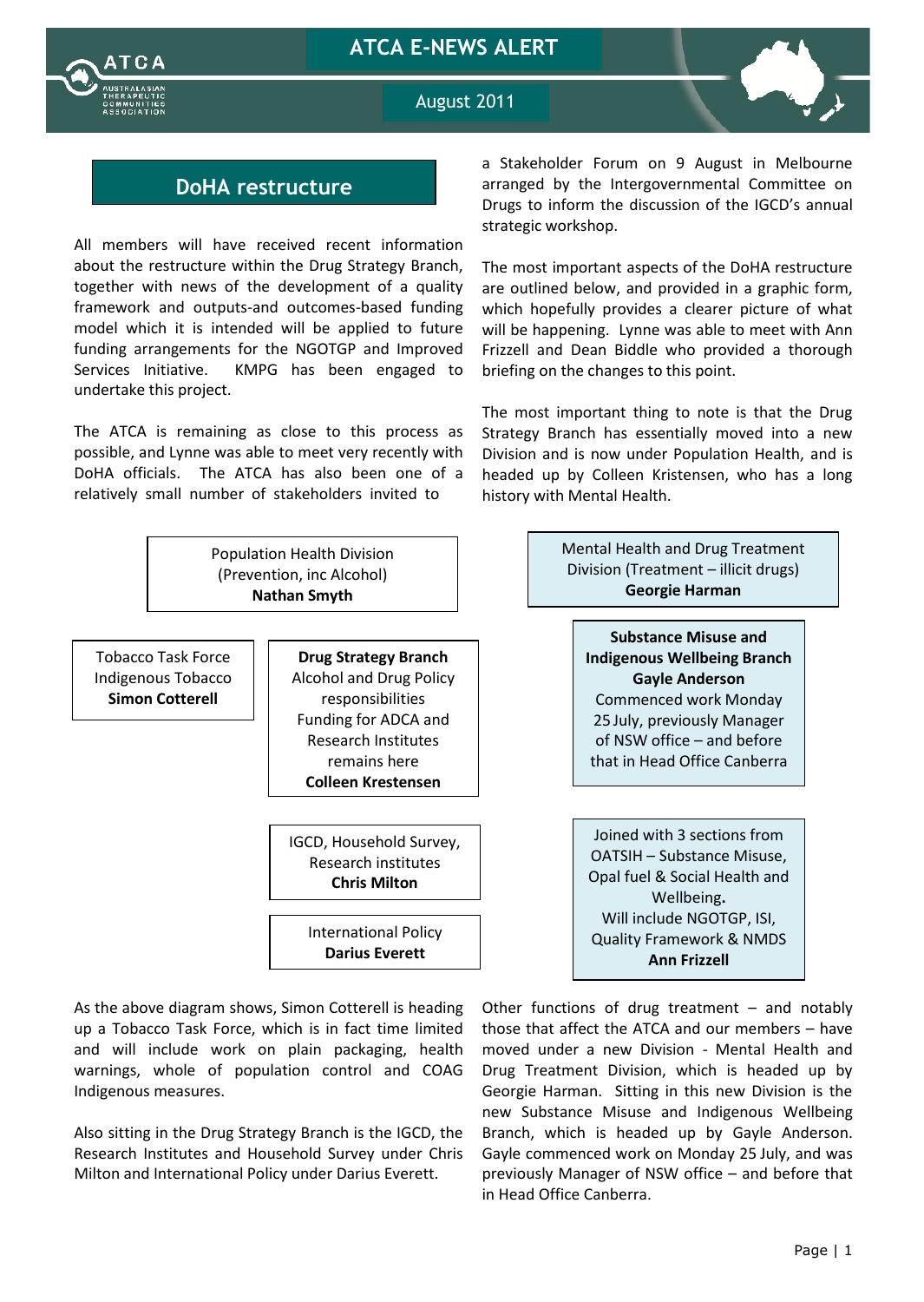



August 2011

## **DoHA restructure**

All members will have received recent information about the restructure within the Drug Strategy Branch, together with news of the development of a quality framework and outputs-and outcomes-based funding model which it is intended will be applied to future funding arrangements for the NGOTGP and Improved Services Initiative. KMPG has been engaged to undertake this project.

The ATCA is remaining as close to this process as possible, and Lynne was able to meet very recently with DoHA officials. The ATCA has also been one of a relatively small number of stakeholders invited to

a Stakeholder Forum on 9 August in Melbourne arranged by the Intergovernmental Committee on Drugs to inform the discussion of the IGCD's annual strategic workshop.

The most important aspects of the DoHA restructure are outlined below, and provided in a graphic form, which hopefully provides a clearer picture of what will be happening. Lynne was able to meet with Ann Frizzell and Dean Biddle who provided a thorough briefing on the changes to this point.

The most important thing to note is that the Drug Strategy Branch has essentially moved into a new Division and is now under Population Health, and is headed up by Colleen Kristensen, who has a long history with Mental Health.



As the above diagram shows, Simon Cotterell is heading up a Tobacco Task Force, which is in fact time limited and will include work on plain packaging, health warnings, whole of population control and COAG Indigenous measures.

Also sitting in the Drug Strategy Branch is the IGCD, the Research Institutes and Household Survey under Chris Milton and International Policy under Darius Everett.

Other functions of drug treatment – and notably those that affect the ATCA and our members – have moved under a new Division - Mental Health and Drug Treatment Division, which is headed up by Georgie Harman. Sitting in this new Division is the new Substance Misuse and Indigenous Wellbeing Branch, which is headed up by Gayle Anderson. Gayle commenced work on Monday 25 July, and was previously Manager of NSW office – and before that in Head Office Canberra.